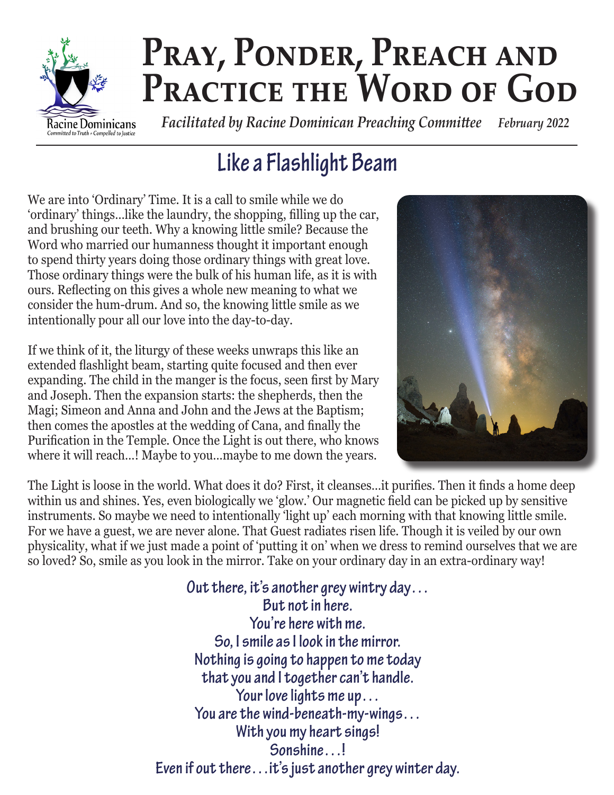

# PRAY, PONDER, PREACH AND PRACTICE THE WORD OF GOD

 *Facilitated by Racine Dominican Preaching Committee February 2022*

# **Like a Flashlight Beam**

We are into 'Ordinary' Time. It is a call to smile while we do 'ordinary' things…like the laundry, the shopping, filling up the car, and brushing our teeth. Why a knowing little smile? Because the Word who married our humanness thought it important enough to spend thirty years doing those ordinary things with great love. Those ordinary things were the bulk of his human life, as it is with ours. Reflecting on this gives a whole new meaning to what we consider the hum-drum. And so, the knowing little smile as we intentionally pour all our love into the day-to-day.

If we think of it, the liturgy of these weeks unwraps this like an extended flashlight beam, starting quite focused and then ever expanding. The child in the manger is the focus, seen first by Mary and Joseph. Then the expansion starts: the shepherds, then the Magi; Simeon and Anna and John and the Jews at the Baptism; then comes the apostles at the wedding of Cana, and finally the Purification in the Temple. Once the Light is out there, who knows where it will reach…! Maybe to you…maybe to me down the years.



The Light is loose in the world. What does it do? First, it cleanses…it purifies. Then it finds a home deep within us and shines. Yes, even biologically we 'glow.' Our magnetic field can be picked up by sensitive instruments. So maybe we need to intentionally 'light up' each morning with that knowing little smile. For we have a guest, we are never alone. That Guest radiates risen life. Though it is veiled by our own physicality, what if we just made a point of 'putting it on' when we dress to remind ourselves that we are so loved? So, smile as you look in the mirror. Take on your ordinary day in an extra-ordinary way!

> **Out there, it's another grey wintry day… But not in here. You're here with me. So, I smile as I look in the mirror. Nothing is going to happen to me today that you and I together can't handle. Your love lights me up… You are the wind-beneath-my-wings… With you my heart sings! Sonshine…! Even if out there…it's just another grey winter day.**